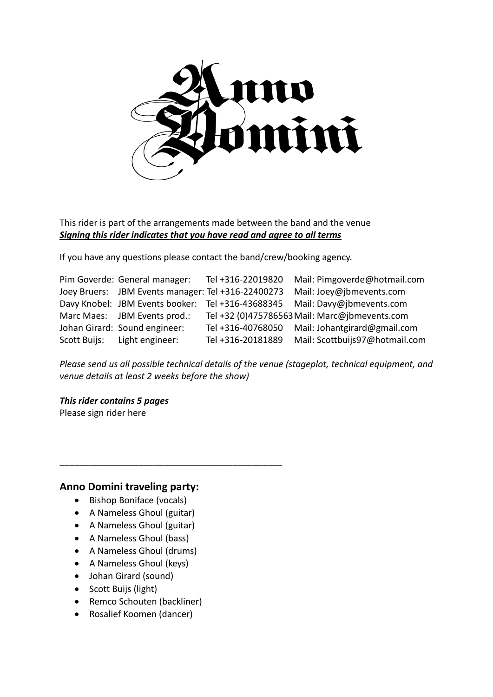

#### This rider is part of the arrangements made between the band and the venue *Signing this rider indicates that you have read and agree to all terms*

If you have any questions please contact the band/crew/booking agency.

| Pim Goverde: General manager:                      | Tel +316-22019820 | Mail: Pimgoverde@hotmail.com                                               |
|----------------------------------------------------|-------------------|----------------------------------------------------------------------------|
| Joey Bruers: JBM Events manager: Tel +316-22400273 |                   | Mail: Joey@jbmevents.com                                                   |
|                                                    |                   | Davy Knobel: JBM Events booker: Tel +316-43688345 Mail: Davy@jbmevents.com |
| Marc Maes: JBM Events prod.:                       |                   | Tel +32 (0)475786563 Mail: Marc@jbmevents.com                              |
| Johan Girard: Sound engineer:                      |                   | Tel +316-40768050 Mail: Johantgirard@gmail.com                             |
| Scott Buijs: Light engineer:                       | Tel +316-20181889 | Mail: Scottbuijs97@hotmail.com                                             |

*Please send us all possible technical details of the venue (stageplot, technical equipment, and venue details at least 2 weeks before the show)*

*This rider contains 5 pages* Please sign rider here

#### **Anno Domini traveling party:**

- Bishop Boniface (vocals)
- A Nameless Ghoul (guitar)

\_\_\_\_\_\_\_\_\_\_\_\_\_\_\_\_\_\_\_\_\_\_\_\_\_\_\_\_\_\_\_\_\_\_\_\_\_\_\_\_\_\_\_\_\_

- A Nameless Ghoul (guitar)
- A Nameless Ghoul (bass)
- A Nameless Ghoul (drums)
- A Nameless Ghoul (keys)
- Johan Girard (sound)
- Scott Buijs (light)
- Remco Schouten (backliner)
- Rosalief Koomen (dancer)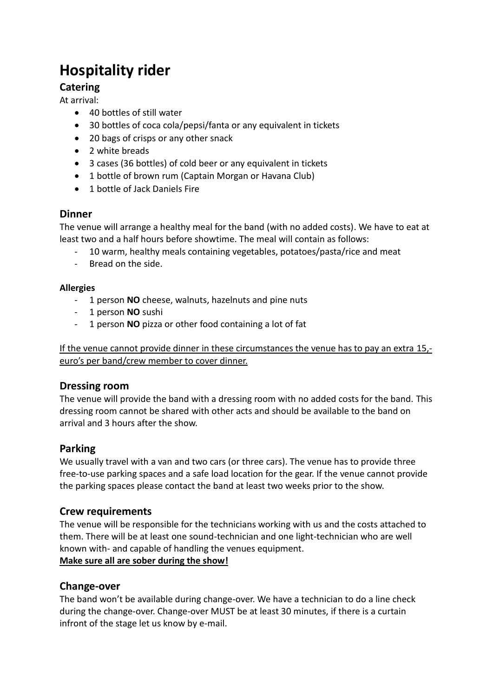# **Hospitality rider**

## **Catering**

At arrival:

- 40 bottles of still water
- 30 bottles of coca cola/pepsi/fanta or any equivalent in tickets
- 20 bags of crisps or any other snack
- 2 white breads
- 3 cases (36 bottles) of cold beer or any equivalent in tickets
- 1 bottle of brown rum (Captain Morgan or Havana Club)
- **1** bottle of Jack Daniels Fire

## **Dinner**

The venue will arrange a healthy meal for the band (with no added costs). We have to eat at least two and a half hours before showtime. The meal will contain as follows:

- 10 warm, healthy meals containing vegetables, potatoes/pasta/rice and meat
- Bread on the side.

#### **Allergies**

- 1 person **NO** cheese, walnuts, hazelnuts and pine nuts
- 1 person **NO** sushi
- 1 person **NO** pizza or other food containing a lot of fat

If the venue cannot provide dinner in these circumstances the venue has to pay an extra 15, euro's per band/crew member to cover dinner.

#### **Dressing room**

The venue will provide the band with a dressing room with no added costs for the band. This dressing room cannot be shared with other acts and should be available to the band on arrival and 3 hours after the show.

#### **Parking**

We usually travel with a van and two cars (or three cars). The venue has to provide three free-to-use parking spaces and a safe load location for the gear. If the venue cannot provide the parking spaces please contact the band at least two weeks prior to the show.

#### **Crew requirements**

The venue will be responsible for the technicians working with us and the costs attached to them. There will be at least one sound-technician and one light-technician who are well known with- and capable of handling the venues equipment. **Make sure all are sober during the show!**

## **Change-over**

The band won't be available during change-over. We have a technician to do a line check during the change-over. Change-over MUST be at least 30 minutes, if there is a curtain infront of the stage let us know by e-mail.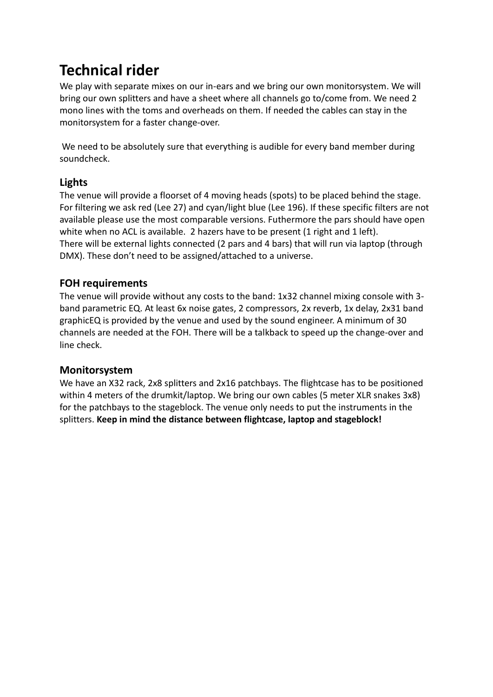## **Technical rider**

We play with separate mixes on our in-ears and we bring our own monitorsystem. We will bring our own splitters and have a sheet where all channels go to/come from. We need 2 mono lines with the toms and overheads on them. If needed the cables can stay in the monitorsystem for a faster change-over.

We need to be absolutely sure that everything is audible for every band member during soundcheck.

## **Lights**

The venue will provide a floorset of 4 moving heads (spots) to be placed behind the stage. For filtering we ask red (Lee 27) and cyan/light blue (Lee 196). If these specific filters are not available please use the most comparable versions. Futhermore the pars should have open white when no ACL is available. 2 hazers have to be present (1 right and 1 left). There will be external lights connected (2 pars and 4 bars) that will run via laptop (through DMX). These don't need to be assigned/attached to a universe.

## **FOH requirements**

The venue will provide without any costs to the band: 1x32 channel mixing console with 3 band parametric EQ. At least 6x noise gates, 2 compressors, 2x reverb, 1x delay, 2x31 band graphicEQ is provided by the venue and used by the sound engineer. A minimum of 30 channels are needed at the FOH. There will be a talkback to speed up the change-over and line check.

## **Monitorsystem**

We have an X32 rack, 2x8 splitters and 2x16 patchbays. The flightcase has to be positioned within 4 meters of the drumkit/laptop. We bring our own cables (5 meter XLR snakes 3x8) for the patchbays to the stageblock. The venue only needs to put the instruments in the splitters. **Keep in mind the distance between flightcase, laptop and stageblock!**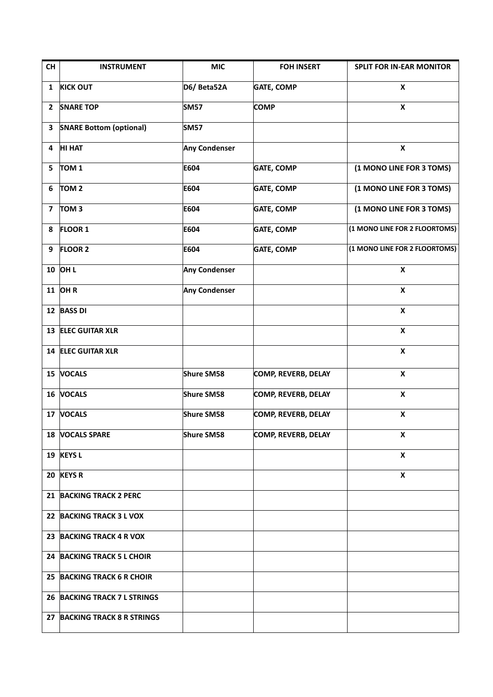| CH                      | <b>INSTRUMENT</b>              | <b>MIC</b>           | <b>FOH INSERT</b>          | <b>SPLIT FOR IN-EAR MONITOR</b> |
|-------------------------|--------------------------------|----------------------|----------------------------|---------------------------------|
| $\mathbf{1}$            | <b>KICK OUT</b>                | D6/ Beta52A          | <b>GATE, COMP</b>          | X                               |
| $\mathbf{2}$            | <b>SNARE TOP</b>               | <b>SM57</b>          | <b>COMP</b>                | X                               |
| 3                       | <b>SNARE Bottom (optional)</b> | <b>SM57</b>          |                            |                                 |
| 4                       | <b>HI HAT</b>                  | <b>Any Condenser</b> |                            | $\pmb{\mathsf{x}}$              |
| 5                       | TOM <sub>1</sub>               | E604                 | <b>GATE, COMP</b>          | (1 MONO LINE FOR 3 TOMS)        |
| 6                       | TOM <sub>2</sub>               | E604                 | <b>GATE, COMP</b>          | (1 MONO LINE FOR 3 TOMS)        |
| $\overline{\mathbf{z}}$ | TOM <sub>3</sub>               | E604                 | <b>GATE, COMP</b>          | (1 MONO LINE FOR 3 TOMS)        |
| 8                       | <b>FLOOR 1</b>                 | E604                 | <b>GATE, COMP</b>          | (1 MONO LINE FOR 2 FLOORTOMS)   |
| 9                       | <b>FLOOR 2</b>                 | E604                 | <b>GATE, COMP</b>          | (1 MONO LINE FOR 2 FLOORTOMS)   |
|                         | 10 OH L                        | <b>Any Condenser</b> |                            | $\pmb{\times}$                  |
|                         | <b>11 OHR</b>                  | <b>Any Condenser</b> |                            | X                               |
|                         | 12 BASS DI                     |                      |                            | $\pmb{\chi}$                    |
|                         | 13 ELEC GUITAR XLR             |                      |                            | $\pmb{\mathsf{x}}$              |
|                         | 14 ELEC GUITAR XLR             |                      |                            | X                               |
|                         | 15 VOCALS                      | <b>Shure SM58</b>    | <b>COMP, REVERB, DELAY</b> | $\pmb{\times}$                  |
|                         | 16 VOCALS                      | <b>Shure SM58</b>    | <b>COMP, REVERB, DELAY</b> | $\pmb{\mathsf{x}}$              |
|                         | 17 VOCALS                      | <b>Shure SM58</b>    | <b>COMP, REVERB, DELAY</b> | $\pmb{\mathsf{X}}$              |
|                         | 18 VOCALS SPARE                | <b>Shure SM58</b>    | COMP, REVERB, DELAY        | X                               |
|                         | 19 KEYS L                      |                      |                            | $\pmb{\mathsf{x}}$              |
|                         | 20 KEYS R                      |                      |                            | X                               |
|                         | 21 BACKING TRACK 2 PERC        |                      |                            |                                 |
|                         | 22 BACKING TRACK 3 L VOX       |                      |                            |                                 |
|                         | 23 BACKING TRACK 4 R VOX       |                      |                            |                                 |
|                         | 24 BACKING TRACK 5 L CHOIR     |                      |                            |                                 |
| 25                      | <b>BACKING TRACK 6 R CHOIR</b> |                      |                            |                                 |
|                         | 26 BACKING TRACK 7 L STRINGS   |                      |                            |                                 |
|                         | 27 BACKING TRACK 8 R STRINGS   |                      |                            |                                 |